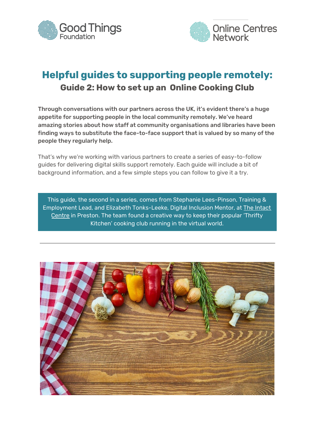



# **Helpful guides to supporting people remotely: Guide 2: How to set up an Online Cooking Club**

Through conversations with our partners across the UK, it's evident there's a huge appetite for supporting people in the local community remotely. We've heard amazing stories about how staff at community organisations and libraries have been finding ways to substitute the face-to-face support that is valued by so many of the people they regularly help.

That's why we're working with various partners to create a series of easy-to-follow guides for delivering digital skills support remotely. Each guide will include a bit of background information, and a few simple steps you can follow to give it a try.

This guide, the second in a series, comes from Stephanie Lees-Pinson, Training & Employment Lead, and Elizabeth Tonks-Leeke, Digital Inclusion Mentor, at The [Intact](http://www.intact-preston.org.uk/) [Centre](http://www.intact-preston.org.uk/) in Preston. The team found a creative way to keep their popular 'Thrifty Kitchen' cooking club running in the virtual world.

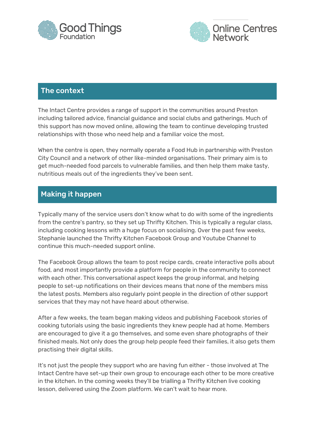



#### The context

The Intact Centre provides a range of support in the communities around Preston including tailored advice, financial guidance and social clubs and gatherings. Much of this support has now moved online, allowing the team to continue developing trusted relationships with those who need help and a familiar voice the most.

When the centre is open, they normally operate a Food Hub in partnership with Preston City Council and a network of other like-minded organisations. Their primary aim is to get much-needed food parcels to vulnerable families, and then help them make tasty, nutritious meals out of the ingredients they've been sent.

#### Making it happen

Typically many of the service users don't know what to do with some of the ingredients from the centre's pantry, so they set up Thrifty Kitchen. This is typically a regular class, including cooking lessons with a huge focus on socialising. Over the past few weeks, Stephanie launched the Thrifty Kitchen Facebook Group and Youtube Channel to continue this much-needed support online.

The Facebook Group allows the team to post recipe cards, create interactive polls about food, and most importantly provide a platform for people in the community to connect with each other. This conversational aspect keeps the group informal, and helping people to set-up notifications on their devices means that none of the members miss the latest posts. Members also regularly point people in the direction of other support services that they may not have heard about otherwise.

After a few weeks, the team began making videos and publishing Facebook stories of cooking tutorials using the basic ingredients they knew people had at home. Members are encouraged to give it a go themselves, and some even share photographs of their finished meals. Not only does the group help people feed their families, it also gets them practising their digital skills.

It's not just the people they support who are having fun either - those involved at The Intact Centre have set-up their own group to encourage each other to be more creative in the kitchen. In the coming weeks they'll be trialling a Thrifty Kitchen live cooking lesson, delivered using the Zoom platform. We can't wait to hear more.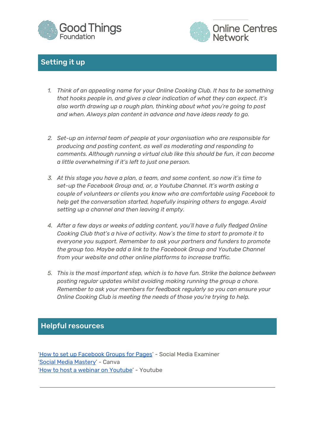



### Setting it up

- *1. Think of an appealing name for your Online Cooking Club. It has to be something that hooks people in, and gives a clear indication of what they can expect. It's also worth drawing up a rough plan, thinking about what you're going to post and when. Always plan content in advance and have ideas ready to go.*
- *2. Set-up an internal team of people at your organisation who are responsible for producing and posting content, as well as moderating and responding to comments. Although running a virtual club like this should be fun, it can become a little overwhelming if it's left to just one person.*
- *3. At this stage you have a plan, a team, and some content, so now it's time to set-up the Facebook Group and, or, a Youtube Channel. It's worth asking a couple of volunteers or clients you know who are comfortable using Facebook to help get the conversation started, hopefully inspiring others to engage. Avoid setting up a channel and then leaving it empty.*
- *4. After a few days or weeks of adding content, you'll have a fully fledged Online Cooking Club that's a hive of activity. Now's the time to start to promote it to everyone you support. Remember to ask your partners and funders to promote the group too. Maybe add a link to the Facebook Group and Youtube Channel from your website and other online platforms to increase traffic.*
- *5. This is the most important step, which is to have fun. Strike the balance between posting regular updates whilst avoiding making running the group a chore. Remember to ask your members for feedback regularly so you can ensure your Online Cooking Club is meeting the needs of those you're trying to help.*

#### Helpful resources

'How to set up [Facebook](https://www.socialmediaexaminer.com/how-to-set-up-facebook-groups-for-pages/) Groups for Pages' - Social Media Examiner 'Social Media [Mastery'](https://designschool.canva.com/courses/social-media-mastery/?lesson=master-social-media) - Canva 'How to host a webinar on [Youtube'](https://www.youtube.com/watch?v=hrPQBqKUjBw) - Youtube